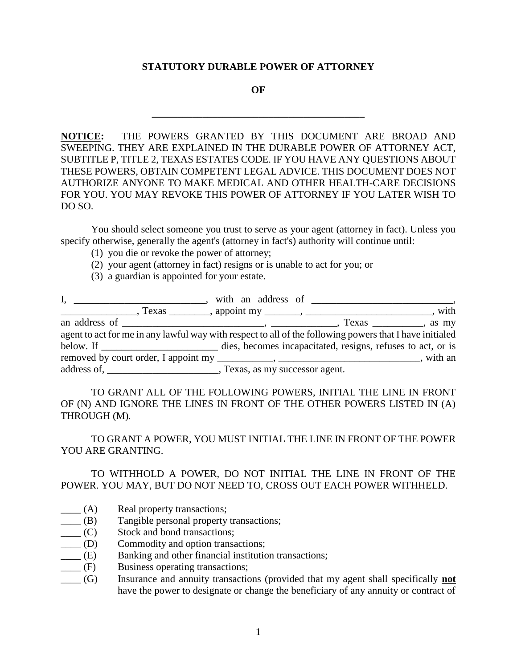#### **STATUTORY DURABLE POWER OF ATTORNEY**

**OF**

**\_\_\_\_\_\_\_\_\_\_\_\_\_\_\_\_\_\_\_\_\_\_\_\_\_\_\_\_\_\_\_\_\_\_\_\_\_\_\_\_\_\_**

**NOTICE:** THE POWERS GRANTED BY THIS DOCUMENT ARE BROAD AND SWEEPING. THEY ARE EXPLAINED IN THE DURABLE POWER OF ATTORNEY ACT, SUBTITLE P, TITLE 2, TEXAS ESTATES CODE. IF YOU HAVE ANY QUESTIONS ABOUT THESE POWERS, OBTAIN COMPETENT LEGAL ADVICE. THIS DOCUMENT DOES NOT AUTHORIZE ANYONE TO MAKE MEDICAL AND OTHER HEALTH-CARE DECISIONS FOR YOU. YOU MAY REVOKE THIS POWER OF ATTORNEY IF YOU LATER WISH TO DO SO.

You should select someone you trust to serve as your agent (attorney in fact). Unless you specify otherwise, generally the agent's (attorney in fact's) authority will continue until:

- (1) you die or revoke the power of attorney;
- (2) your agent (attorney in fact) resigns or is unable to act for you; or
- (3) a guardian is appointed for your estate.

| $\Box$ , Texas $\Box$ , appoint my $\Box$ , $\Box$ , $\Box$ , $\Box$ , $\Box$ , with                    |  |
|---------------------------------------------------------------------------------------------------------|--|
|                                                                                                         |  |
| agent to act for me in any lawful way with respect to all of the following powers that I have initialed |  |
| below. If discussed dies, becomes incapacitated, resigns, refuses to act, or is                         |  |
|                                                                                                         |  |
|                                                                                                         |  |

TO GRANT ALL OF THE FOLLOWING POWERS, INITIAL THE LINE IN FRONT OF (N) AND IGNORE THE LINES IN FRONT OF THE OTHER POWERS LISTED IN (A) THROUGH (M).

TO GRANT A POWER, YOU MUST INITIAL THE LINE IN FRONT OF THE POWER YOU ARE GRANTING.

TO WITHHOLD A POWER, DO NOT INITIAL THE LINE IN FRONT OF THE POWER. YOU MAY, BUT DO NOT NEED TO, CROSS OUT EACH POWER WITHHELD.

- $\qquad \qquad$  (A) Real property transactions;
- \_\_\_\_ (B) Tangible personal property transactions;
- \_\_\_\_ (C) Stock and bond transactions;
- \_\_\_\_ (D) Commodity and option transactions;
- \_\_\_\_ (E) Banking and other financial institution transactions;
- \_\_\_\_ (F) Business operating transactions;
- \_\_\_\_ (G) Insurance and annuity transactions (provided that my agent shall specifically **not** have the power to designate or change the beneficiary of any annuity or contract of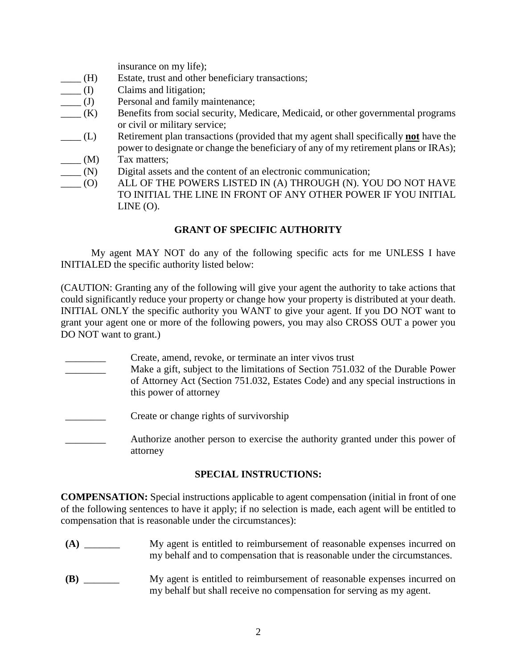insurance on my life);

- \_\_\_\_ (H) Estate, trust and other beneficiary transactions;
- \_\_\_\_ (I) Claims and litigation;
- \_\_\_\_ (J) Personal and family maintenance;
- \_\_\_\_ (K) Benefits from social security, Medicare, Medicaid, or other governmental programs or civil or military service;
- \_\_\_\_ (L) Retirement plan transactions (provided that my agent shall specifically **not** have the power to designate or change the beneficiary of any of my retirement plans or IRAs);
- $\frac{1}{\sqrt{2}}$  (M) Tax matters;
- $\_\_$ (N) Digital assets and the content of an electronic communication;
- $\overline{O}$ ALL OF THE POWERS LISTED IN (A) THROUGH (N). YOU DO NOT HAVE TO INITIAL THE LINE IN FRONT OF ANY OTHER POWER IF YOU INITIAL  $LINE (O).$

# **GRANT OF SPECIFIC AUTHORITY**

My agent MAY NOT do any of the following specific acts for me UNLESS I have INITIALED the specific authority listed below:

(CAUTION: Granting any of the following will give your agent the authority to take actions that could significantly reduce your property or change how your property is distributed at your death. INITIAL ONLY the specific authority you WANT to give your agent. If you DO NOT want to grant your agent one or more of the following powers, you may also CROSS OUT a power you DO NOT want to grant.)

- Create, amend, revoke, or terminate an inter vivos trust
- Make a gift, subject to the limitations of Section 751.032 of the Durable Power of Attorney Act (Section 751.032, Estates Code) and any special instructions in this power of attorney
- Create or change rights of survivorship
- Authorize another person to exercise the authority granted under this power of attorney

## **SPECIAL INSTRUCTIONS:**

**COMPENSATION:** Special instructions applicable to agent compensation (initial in front of one of the following sentences to have it apply; if no selection is made, each agent will be entitled to compensation that is reasonable under the circumstances):

- **(A)** \_\_\_\_\_\_\_ My agent is entitled to reimbursement of reasonable expenses incurred on my behalf and to compensation that is reasonable under the circumstances.
- **(B)** \_\_\_\_\_\_\_ My agent is entitled to reimbursement of reasonable expenses incurred on my behalf but shall receive no compensation for serving as my agent.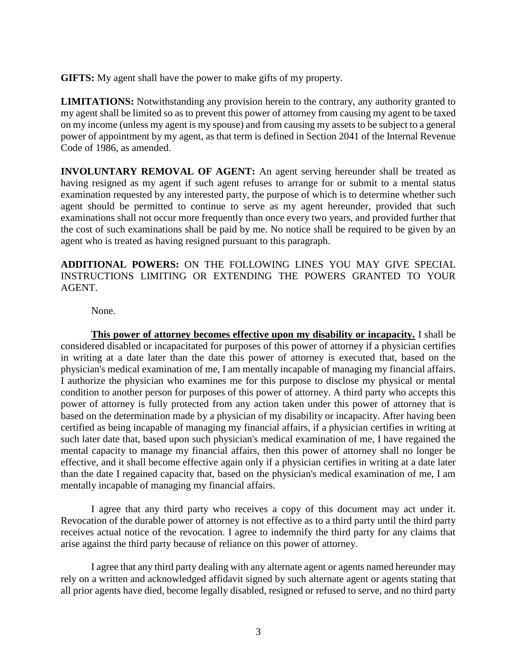**GIFTS:** My agent shall have the power to make gifts of my property.

**LIMITATIONS:** Notwithstanding any provision herein to the contrary, any authority granted to my agent shall be limited so as to prevent this power of attorney from causing my agent to be taxed on my income (unless my agent is my spouse) and from causing my assets to be subject to a general power of appointment by my agent, as that term is defined in Section 2041 of the Internal Revenue Code of 1986, as amended.

**INVOLUNTARY REMOVAL OF AGENT:** An agent serving hereunder shall be treated as having resigned as my agent if such agent refuses to arrange for or submit to a mental status examination requested by any interested party, the purpose of which is to determine whether such agent should be permitted to continue to serve as my agent hereunder, provided that such examinations shall not occur more frequently than once every two years, and provided further that the cost of such examinations shall be paid by me. No notice shall be required to be given by an agent who is treated as having resigned pursuant to this paragraph.

**ADDITIONAL POWERS:** ON THE FOLLOWING LINES YOU MAY GIVE SPECIAL INSTRUCTIONS LIMITING OR EXTENDING THE POWERS GRANTED TO YOUR AGENT.

None.

**This power of attorney becomes effective upon my disability or incapacity.** I shall be considered disabled or incapacitated for purposes of this power of attorney if a physician certifies in writing at a date later than the date this power of attorney is executed that, based on the physician's medical examination of me, I am mentally incapable of managing my financial affairs. I authorize the physician who examines me for this purpose to disclose my physical or mental condition to another person for purposes of this power of attorney. A third party who accepts this power of attorney is fully protected from any action taken under this power of attorney that is based on the determination made by a physician of my disability or incapacity. After having been certified as being incapable of managing my financial affairs, if a physician certifies in writing at such later date that, based upon such physician's medical examination of me, I have regained the mental capacity to manage my financial affairs, then this power of attorney shall no longer be effective, and it shall become effective again only if a physician certifies in writing at a date later than the date I regained capacity that, based on the physician's medical examination of me, I am mentally incapable of managing my financial affairs.

I agree that any third party who receives a copy of this document may act under it. Revocation of the durable power of attorney is not effective as to a third party until the third party receives actual notice of the revocation. I agree to indemnify the third party for any claims that arise against the third party because of reliance on this power of attorney.

I agree that any third party dealing with any alternate agent or agents named hereunder may rely on a written and acknowledged affidavit signed by such alternate agent or agents stating that all prior agents have died, become legally disabled, resigned or refused to serve, and no third party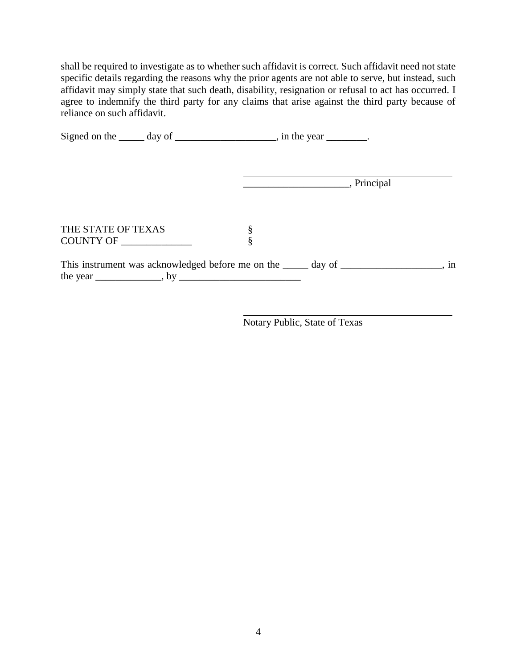shall be required to investigate as to whether such affidavit is correct. Such affidavit need not state specific details regarding the reasons why the prior agents are not able to serve, but instead, such affidavit may simply state that such death, disability, resignation or refusal to act has occurred. I agree to indemnify the third party for any claims that arise against the third party because of reliance on such affidavit.

|                                                                                     | Signed on the $\_\_\_\_$ day of $\_\_\_\_\_\_\_\_\_$ , in the year $\_\_\_\_\_\_\_\_$ . |                     |  |
|-------------------------------------------------------------------------------------|-----------------------------------------------------------------------------------------|---------------------|--|
|                                                                                     |                                                                                         | Principal Principal |  |
| THE STATE OF TEXAS<br>COUNTY OF                                                     | §<br>§                                                                                  |                     |  |
| This instrument was acknowledged before me on the _____ day of ________________, in |                                                                                         |                     |  |

Notary Public, State of Texas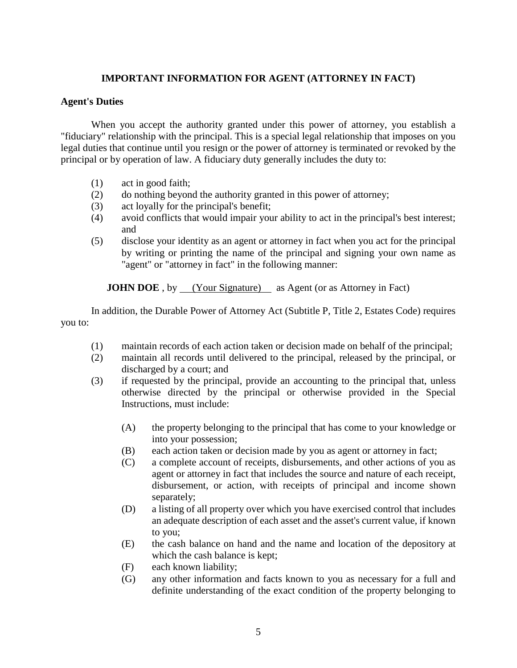# **IMPORTANT INFORMATION FOR AGENT (ATTORNEY IN FACT)**

## **Agent's Duties**

When you accept the authority granted under this power of attorney, you establish a "fiduciary" relationship with the principal. This is a special legal relationship that imposes on you legal duties that continue until you resign or the power of attorney is terminated or revoked by the principal or by operation of law. A fiduciary duty generally includes the duty to:

- (1) act in good faith;
- (2) do nothing beyond the authority granted in this power of attorney;
- (3) act loyally for the principal's benefit;
- (4) avoid conflicts that would impair your ability to act in the principal's best interest; and
- (5) disclose your identity as an agent or attorney in fact when you act for the principal by writing or printing the name of the principal and signing your own name as "agent" or "attorney in fact" in the following manner:

**JOHN DOE**, by (Your Signature) as Agent (or as Attorney in Fact)

In addition, the Durable Power of Attorney Act (Subtitle P, Title 2, Estates Code) requires you to:

- (1) maintain records of each action taken or decision made on behalf of the principal;
- (2) maintain all records until delivered to the principal, released by the principal, or discharged by a court; and
- (3) if requested by the principal, provide an accounting to the principal that, unless otherwise directed by the principal or otherwise provided in the Special Instructions, must include:
	- (A) the property belonging to the principal that has come to your knowledge or into your possession;
	- (B) each action taken or decision made by you as agent or attorney in fact;
	- (C) a complete account of receipts, disbursements, and other actions of you as agent or attorney in fact that includes the source and nature of each receipt, disbursement, or action, with receipts of principal and income shown separately;
	- (D) a listing of all property over which you have exercised control that includes an adequate description of each asset and the asset's current value, if known to you;
	- (E) the cash balance on hand and the name and location of the depository at which the cash balance is kept;
	- (F) each known liability;
	- (G) any other information and facts known to you as necessary for a full and definite understanding of the exact condition of the property belonging to